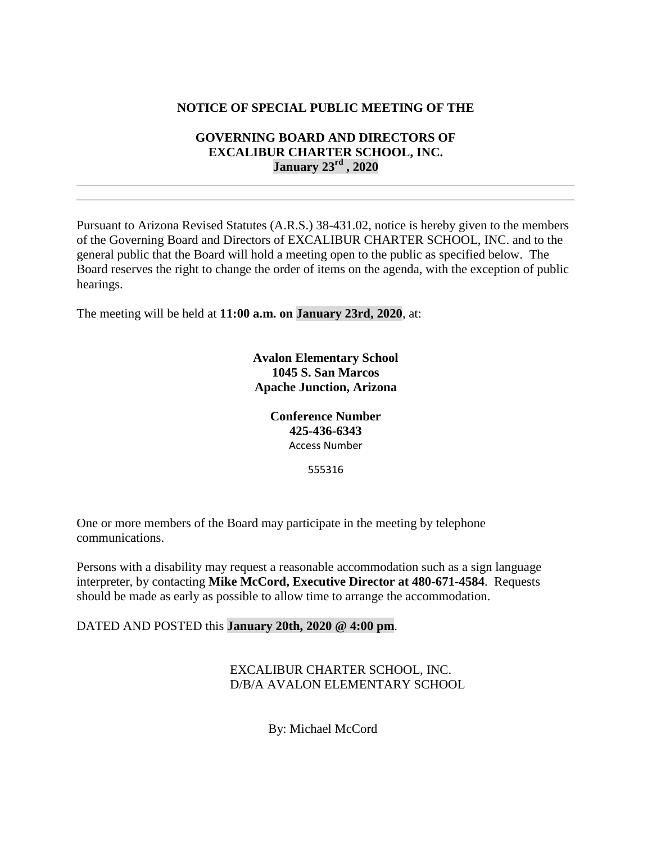## **NOTICE OF SPECIAL PUBLIC MEETING OF THE**

## **GOVERNING BOARD AND DIRECTORS OF EXCALIBUR CHARTER SCHOOL, INC. January 23rd , 2020**

Pursuant to Arizona Revised Statutes (A.R.S.) 38-431.02, notice is hereby given to the members of the Governing Board and Directors of EXCALIBUR CHARTER SCHOOL, INC. and to the general public that the Board will hold a meeting open to the public as specified below. The Board reserves the right to change the order of items on the agenda, with the exception of public hearings.

The meeting will be held at **11:00 a.m. on January 23rd, 2020**, at:

**Avalon Elementary School 1045 S. San Marcos Apache Junction, Arizona**

> **Conference Number 425-436-6343** Access Number

> > 555316

One or more members of the Board may participate in the meeting by telephone communications.

Persons with a disability may request a reasonable accommodation such as a sign language interpreter, by contacting **Mike McCord, Executive Director at 480-671-4584**. Requests should be made as early as possible to allow time to arrange the accommodation.

DATED AND POSTED this **January 20th, 2020 @ 4:00 pm**.

EXCALIBUR CHARTER SCHOOL, INC. D/B/A AVALON ELEMENTARY SCHOOL

By: Michael McCord